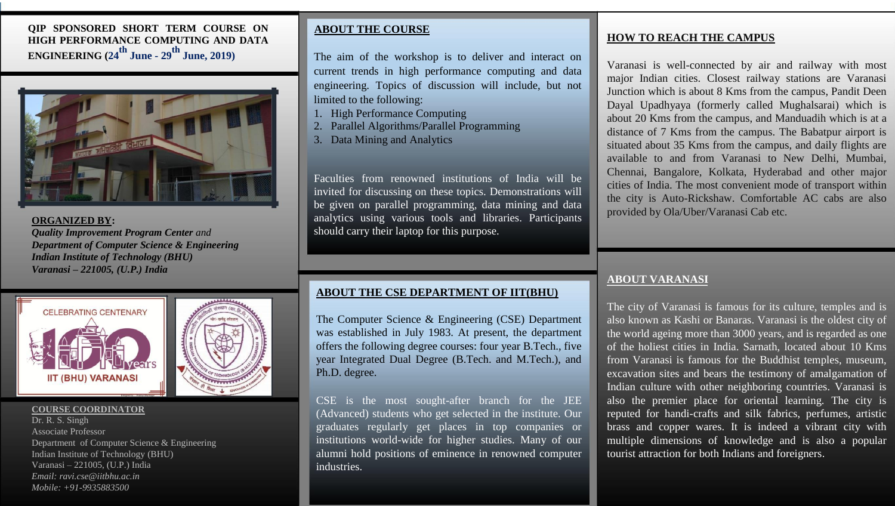# **QIP SPONSORED SHORT TERM COURSE ON HIGH PERFORMANCE COMPUTING AND DATA ENGINEERING (24th June - <sup>29</sup>th June, 2019)**



**ORGANIZED BY:** *Quality Improvement Program Center and Department of Computer Science & Engineering Indian Institute of Technology (BHU) Varanasi – 221005, (U.P.) India*



### **COURSE COORDINATOR**

Dr. R. S. Singh Associate Professor Department of Computer Science & Engineering Indian Institute of Technology (BHU) Varanasi – 221005, (U.P.) India *Email: ravi.cse@iitbhu.ac.in Mobile: +91-9935883500*

# **ABOUT THE COURSE**

The aim of the workshop is to deliver and interact on current trends in high performance computing and data engineering. Topics of discussion will include, but not limited to the following:

- 1. High Performance Computing
- 2. Parallel Algorithms/Parallel Programming
- 3. Data Mining and Analytics

Faculties from renowned institutions of India will be invited for discussing on these topics. Demonstrations will be given on parallel programming, data mining and data analytics using various tools and libraries. Participants should carry their laptop for this purpose.

## **ABOUT THE CSE DEPARTMENT OF IIT(BHU)**

The Computer Science & Engineering (CSE) Department was established in July 1983. At present, the department offers the following degree courses: four year B.Tech., five year Integrated Dual Degree (B.Tech. and M.Tech.), and Ph.D. degree.

CSE is the most sought-after branch for the JEE (Advanced) students who get selected in the institute. Our graduates regularly get places in top companies or institutions world-wide for higher studies. Many of our alumni hold positions of eminence in renowned computer industries.

## **HOW TO REACH THE CAMPUS**

Varanasi is well-connected by air and railway with most major Indian cities. Closest railway stations are Varanasi Junction which is about 8 Kms from the campus, Pandit Deen Dayal Upadhyaya (formerly called Mughalsarai) which is about 20 Kms from the campus, and Manduadih which is at a distance of 7 Kms from the campus. The Babatpur airport is situated about 35 Kms from the campus, and daily flights are available to and from Varanasi to New Delhi, Mumbai, Chennai, Bangalore, Kolkata, Hyderabad and other major cities of India. The most convenient mode of transport within the city is Auto-Rickshaw. Comfortable AC cabs are also provided by Ola/Uber/Varanasi Cab etc.

## **ABOUT VARANASI**

The city of Varanasi is famous for its culture, temples and is also known as Kashi or Banaras. Varanasi is the oldest city of the world ageing more than 3000 years, and is regarded as one of the holiest cities in India. Sarnath, located about 10 Kms from Varanasi is famous for the Buddhist temples, museum, excavation sites and bears the testimony of amalgamation of Indian culture with other neighboring countries. Varanasi is also the premier place for oriental learning. The city is reputed for handi-crafts and silk fabrics, perfumes, artistic brass and copper wares. It is indeed a vibrant city with multiple dimensions of knowledge and is also a popular tourist attraction for both Indians and foreigners.